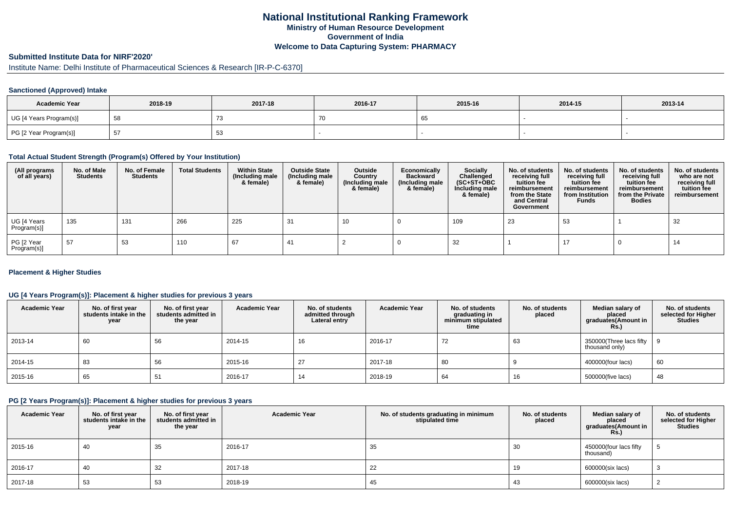## **National Institutional Ranking FrameworkMinistry of Human Resource DevelopmentGovernment of IndiaWelcome to Data Capturing System: PHARMACY**

# **Submitted Institute Data for NIRF'2020'**

# Institute Name: Delhi Institute of Pharmaceutical Sciences & Research [IR-P-C-6370]

## **Sanctioned (Approved) Intake**

| <b>Academic Year</b>    | 2018-19 | 2017-18      | 2016-17 | 2015-16 | 2014-15 | 2013-14 |
|-------------------------|---------|--------------|---------|---------|---------|---------|
| UG [4 Years Program(s)] | - 55    | $\mathbf{I}$ |         |         |         |         |
| PG [2 Year Program(s)]  | ◡       | ບບ           |         |         |         |         |

#### **Total Actual Student Strength (Program(s) Offered by Your Institution)**

| (All programs<br>of all years) | No. of Male<br><b>Students</b> | No. of Female<br><b>Students</b> | <b>Total Students</b> | <b>Within State</b><br>(Including male<br>& female) | <b>Outside State</b><br>(Including male<br>& female) | Outside<br>Country<br>(Including male<br>& female) | Economically<br><b>Backward</b><br>(Including male<br>& female) | <b>Socially</b><br>Challenged<br>$(SC+ST+OBC)$<br>Including male<br>& female) | No. of students<br>receiving full<br>tuition fee<br>reimbursement<br>from the State<br>and Central<br>Government | No. of students<br>receiving full<br>tuition fee<br>reimbursement<br>from Institution<br><b>Funds</b> | No. of students<br>receiving full<br>tuition fee<br>reimbursement<br>from the Private<br><b>Bodies</b> | No. of students<br>who are not<br>receiving full<br>tuition fee<br>reimbursement |
|--------------------------------|--------------------------------|----------------------------------|-----------------------|-----------------------------------------------------|------------------------------------------------------|----------------------------------------------------|-----------------------------------------------------------------|-------------------------------------------------------------------------------|------------------------------------------------------------------------------------------------------------------|-------------------------------------------------------------------------------------------------------|--------------------------------------------------------------------------------------------------------|----------------------------------------------------------------------------------|
| UG [4 Years<br>Program(s)]     | 135                            | 131                              | 266                   | 225                                                 | -31                                                  | 10                                                 |                                                                 | 109                                                                           | 23                                                                                                               | 53                                                                                                    |                                                                                                        | 32                                                                               |
| PG [2 Year<br>Program(s)]      | 57                             | 53                               | 110                   | 67                                                  | -41                                                  |                                                    |                                                                 | 32                                                                            |                                                                                                                  | 17                                                                                                    |                                                                                                        | 14                                                                               |

#### **Placement & Higher Studies**

### **UG [4 Years Program(s)]: Placement & higher studies for previous 3 years**

| <b>Academic Year</b> | No. of first year<br>students intake in the<br>year | No. of first vear<br>students admitted in<br>the year | <b>Academic Year</b> | No. of students<br>admitted through<br>Lateral entry | <b>Academic Year</b> | No. of students<br>graduating in<br>minimum stipulated<br>time | No. of students<br>placed | Median salary of<br>placed<br>graduates(Amount in<br><b>Rs.)</b> | No. of students<br>selected for Higher<br>Studies |
|----------------------|-----------------------------------------------------|-------------------------------------------------------|----------------------|------------------------------------------------------|----------------------|----------------------------------------------------------------|---------------------------|------------------------------------------------------------------|---------------------------------------------------|
| 2013-14              | 60                                                  | 56                                                    | 2014-15              | 16                                                   | 2016-17              | 72                                                             | 63                        | 350000(Three lacs fifty<br>thousand only)                        |                                                   |
| 2014-15              | 83                                                  | 56                                                    | 2015-16              | 27                                                   | 2017-18              | 80                                                             |                           | 400000(four lacs)                                                | 60                                                |
| 2015-16              | 65                                                  | 51                                                    | 2016-17              | 14                                                   | 2018-19              | 64                                                             | 16                        | 500000(five lacs)                                                | 48                                                |

#### **PG [2 Years Program(s)]: Placement & higher studies for previous 3 years**

| <b>Academic Year</b> | No. of first year<br>students intake in the<br>year | No. of first year<br>students admitted in<br>the year | <b>Academic Year</b> | No. of students graduating in minimum<br>stipulated time | No. of students<br>placed | Median salary of<br>placed<br>graduates(Amount in<br><b>Rs.)</b> | No. of students<br>selected for Higher<br><b>Studies</b> |
|----------------------|-----------------------------------------------------|-------------------------------------------------------|----------------------|----------------------------------------------------------|---------------------------|------------------------------------------------------------------|----------------------------------------------------------|
| 2015-16              | 40                                                  | 35                                                    | 2016-17              | 35                                                       | 30                        | 450000(four lacs fifty<br>thousand)                              |                                                          |
| 2016-17              | 40                                                  | 32                                                    | 2017-18              | 22                                                       | 19                        | 600000(six lacs)                                                 |                                                          |
| 2017-18              | 53                                                  | 53                                                    | 2018-19              | 45                                                       | 43                        | 600000(six lacs)                                                 |                                                          |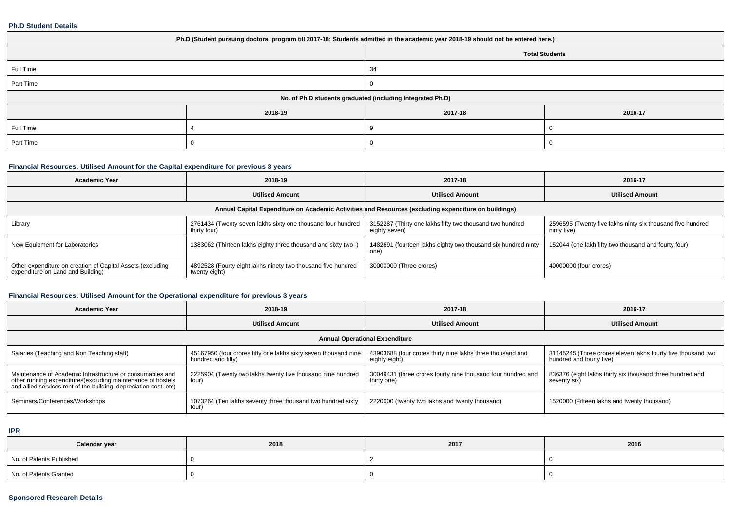#### **Ph.D Student Details**

| Ph.D (Student pursuing doctoral program till 2017-18; Students admitted in the academic year 2018-19 should not be entered here.) |         |         |         |  |  |  |
|-----------------------------------------------------------------------------------------------------------------------------------|---------|---------|---------|--|--|--|
| <b>Total Students</b>                                                                                                             |         |         |         |  |  |  |
| Full Time<br>34                                                                                                                   |         |         |         |  |  |  |
| Part Time                                                                                                                         |         |         |         |  |  |  |
| No. of Ph.D students graduated (including Integrated Ph.D)                                                                        |         |         |         |  |  |  |
|                                                                                                                                   | 2018-19 | 2017-18 | 2016-17 |  |  |  |
| Full Time                                                                                                                         |         |         |         |  |  |  |
| Part Time                                                                                                                         |         |         |         |  |  |  |

## **Financial Resources: Utilised Amount for the Capital expenditure for previous 3 years**

| <b>Academic Year</b>                                                                                 | 2018-19                                                                       | 2017-18                                                                           | 2016-17                                                                   |  |  |  |  |  |  |
|------------------------------------------------------------------------------------------------------|-------------------------------------------------------------------------------|-----------------------------------------------------------------------------------|---------------------------------------------------------------------------|--|--|--|--|--|--|
|                                                                                                      | <b>Utilised Amount</b>                                                        | <b>Utilised Amount</b>                                                            | <b>Utilised Amount</b>                                                    |  |  |  |  |  |  |
| Annual Capital Expenditure on Academic Activities and Resources (excluding expenditure on buildings) |                                                                               |                                                                                   |                                                                           |  |  |  |  |  |  |
| Library                                                                                              | 2761434 (Twenty seven lakhs sixty one thousand four hundred<br>thirty four)   | 3152287 (Thirty one lakhs fifty two thousand two hundred<br>eighty seven)         | 2596595 (Twenty five lakhs ninty six thousand five hundred<br>ninty five) |  |  |  |  |  |  |
| New Equipment for Laboratories                                                                       | 1383062 (Thirteen lakhs eighty three thousand and sixty two)                  | 1482691 (fourteen lakhs eighty two thousand six hundred ninty<br>one <sup>'</sup> | 152044 (one lakh fifty two thousand and fourty four)                      |  |  |  |  |  |  |
| Other expenditure on creation of Capital Assets (excluding<br>expenditure on Land and Building)      | 4892528 (Fourty eight lakhs ninety two thousand five hundred<br>twenty eight) | 30000000 (Three crores)                                                           | 40000000 (four crores)                                                    |  |  |  |  |  |  |

## **Financial Resources: Utilised Amount for the Operational expenditure for previous 3 years**

| <b>Academic Year</b>                                                                                                                                                                            | 2018-19                                                                               | 2017-18                                                                     | 2016-17                                                                                  |  |  |  |  |  |  |
|-------------------------------------------------------------------------------------------------------------------------------------------------------------------------------------------------|---------------------------------------------------------------------------------------|-----------------------------------------------------------------------------|------------------------------------------------------------------------------------------|--|--|--|--|--|--|
|                                                                                                                                                                                                 | <b>Utilised Amount</b>                                                                | <b>Utilised Amount</b>                                                      | <b>Utilised Amount</b>                                                                   |  |  |  |  |  |  |
| <b>Annual Operational Expenditure</b>                                                                                                                                                           |                                                                                       |                                                                             |                                                                                          |  |  |  |  |  |  |
| Salaries (Teaching and Non Teaching staff)                                                                                                                                                      | 45167950 (four crores fifty one lakhs sixty seven thousand nine<br>hundred and fifty) | 43903688 (four crores thirty nine lakhs three thousand and<br>eighty eight) | 31145245 (Three crores eleven lakhs fourty five thousand two<br>hundred and fourty five) |  |  |  |  |  |  |
| Maintenance of Academic Infrastructure or consumables and<br>other running expenditures (excluding maintenance of hostels<br>and allied services, rent of the building, depreciation cost, etc) | 2225904 (Twenty two lakhs twenty five thousand nine hundred<br>four)                  | 30049431 (three crores fourty nine thousand four hundred and<br>thirty one) | 836376 (eight lakhs thirty six thousand three hundred and<br>seventy six)                |  |  |  |  |  |  |
| Seminars/Conferences/Workshops                                                                                                                                                                  | 1073264 (Ten lakhs seventy three thousand two hundred sixty<br>four)                  | 2220000 (twenty two lakhs and twenty thousand)                              | 1520000 (Fifteen lakhs and twenty thousand)                                              |  |  |  |  |  |  |

**IPR**

| Calendar year            | 2018 | 2017 | 2016 |
|--------------------------|------|------|------|
| No. of Patents Published |      |      |      |
| No. of Patents Granted   |      |      |      |

### **Sponsored Research Details**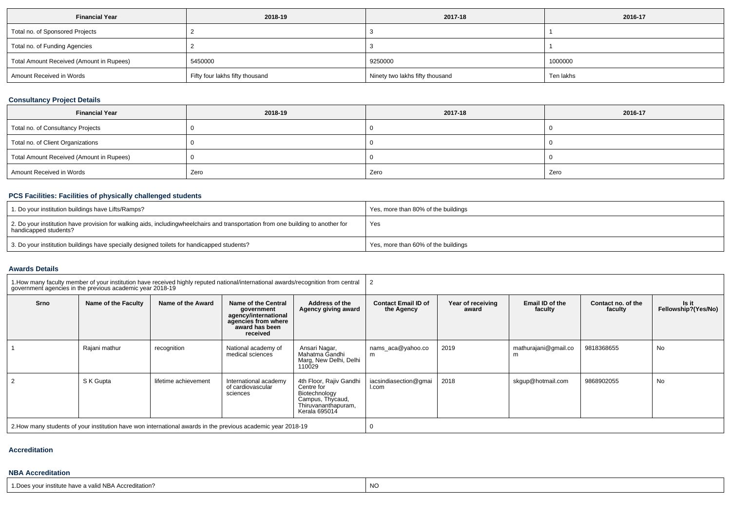| <b>Financial Year</b>                    | 2018-19                         | 2017-18                         | 2016-17   |
|------------------------------------------|---------------------------------|---------------------------------|-----------|
| Total no. of Sponsored Projects          |                                 |                                 |           |
| Total no. of Funding Agencies            |                                 |                                 |           |
| Total Amount Received (Amount in Rupees) | 5450000                         | 9250000                         | 1000000   |
| Amount Received in Words                 | Fifty four lakhs fifty thousand | Ninety two lakhs fifty thousand | Ten lakhs |

## **Consultancy Project Details**

| <b>Financial Year</b>                    | 2018-19 | 2017-18 | 2016-17 |
|------------------------------------------|---------|---------|---------|
| Total no. of Consultancy Projects        |         |         |         |
| Total no. of Client Organizations        |         |         |         |
| Total Amount Received (Amount in Rupees) |         |         |         |
| Amount Received in Words                 | Zero    | Zero    | Zero    |

# **PCS Facilities: Facilities of physically challenged students**

| 1. Do your institution buildings have Lifts/Ramps?                                                                                                        | Yes, more than 80% of the buildings |
|-----------------------------------------------------------------------------------------------------------------------------------------------------------|-------------------------------------|
| 2. Do your institution have provision for walking aids, includingwheelchairs and transportation from one building to another for<br>handicapped students? | Yes                                 |
| 3. Do your institution buildings have specially designed toilets for handicapped students?                                                                | Yes, more than 60% of the buildings |

#### **Awards Details**

| 1. How many faculty member of your institution have received highly reputed national/international awards/recognition from central<br>government agencies in the previous academic year 2018-19 |                     |                      |                                                                                                                |                                                                                                                    |                                          |                            |                            |                               |                              |
|-------------------------------------------------------------------------------------------------------------------------------------------------------------------------------------------------|---------------------|----------------------|----------------------------------------------------------------------------------------------------------------|--------------------------------------------------------------------------------------------------------------------|------------------------------------------|----------------------------|----------------------------|-------------------------------|------------------------------|
| Srno                                                                                                                                                                                            | Name of the Faculty | Name of the Award    | Name of the Central<br>government<br>agency/international<br>agencies from where<br>award has been<br>received | Address of the<br>Agency giving award                                                                              | <b>Contact Email ID of</b><br>the Agency | Year of receiving<br>award | Email ID of the<br>faculty | Contact no. of the<br>faculty | Is it<br>Fellowship?(Yes/No) |
|                                                                                                                                                                                                 | Rajani mathur       | recognition          | National academy of<br>medical sciences                                                                        | Ansari Nagar.<br>Mahatma Gandhi<br>Marg, New Delhi, Delhi<br>110029                                                | nams aca@yahoo.co<br>m                   | 2019                       | mathurajani@gmail.co<br>m  | 9818368655                    | No                           |
|                                                                                                                                                                                                 | S K Gupta           | lifetime achievement | International academy<br>of cardiovascular<br>sciences                                                         | 4th Floor, Rajiv Gandhi<br>Centre for<br>Biotechnology<br>Campus, Thycaud,<br>Thiruvananthapuram,<br>Kerala 695014 | iacsindiasection@gmai<br>I.com           | 2018                       | skqup@hotmail.com          | 9868902055                    | No                           |
| 2. How many students of your institution have won international awards in the previous academic year 2018-19                                                                                    |                     |                      |                                                                                                                |                                                                                                                    |                                          |                            |                            |                               |                              |

## **Accreditation**

## **NBA Accreditation**

1.Does your institute have a valid NBA Accreditation?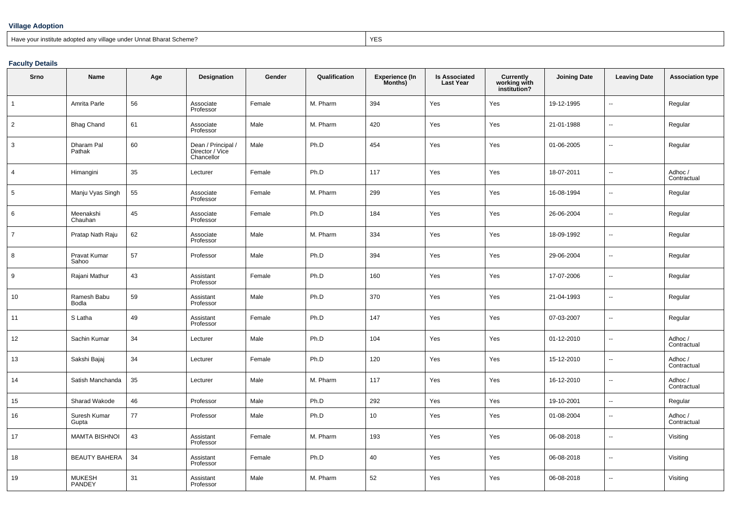#### **Village Adoption**

## Have your institute adopted any village under Unnat Bharat Scheme?

extending the contract of the contract of the contract of the contract of the contract of the contract of the contract of the contract of the contract of the contract of the contract of the contract of the contract of the

## **Faculty Details**

| Srno           | Name                  | Age | Designation                                         | Gender | Qualification | <b>Experience (In</b><br>Months) | <b>Is Associated</b><br><b>Last Year</b> | <b>Currently</b><br>working with<br>institution? | <b>Joining Date</b> | <b>Leaving Date</b>      | <b>Association type</b> |
|----------------|-----------------------|-----|-----------------------------------------------------|--------|---------------|----------------------------------|------------------------------------------|--------------------------------------------------|---------------------|--------------------------|-------------------------|
| $\mathbf{1}$   | Amrita Parle          | 56  | Associate<br>Professor                              | Female | M. Pharm      | 394                              | Yes                                      | Yes                                              | 19-12-1995          | $\sim$                   | Regular                 |
| $\overline{2}$ | <b>Bhag Chand</b>     | 61  | Associate<br>Professor                              | Male   | M. Pharm      | 420                              | Yes                                      | Yes                                              | 21-01-1988          | $\overline{\phantom{a}}$ | Regular                 |
| 3              | Dharam Pal<br>Pathak  | 60  | Dean / Principal /<br>Director / Vice<br>Chancellor | Male   | Ph.D          | 454                              | Yes                                      | Yes                                              | 01-06-2005          | $\sim$                   | Regular                 |
| $\overline{4}$ | Himangini             | 35  | Lecturer                                            | Female | Ph.D          | 117                              | Yes                                      | Yes                                              | 18-07-2011          | $\ddotsc$                | Adhoc /<br>Contractual  |
| 5              | Manju Vyas Singh      | 55  | Associate<br>Professor                              | Female | M. Pharm      | 299                              | Yes                                      | Yes                                              | 16-08-1994          | $\sim$                   | Regular                 |
| 6              | Meenakshi<br>Chauhan  | 45  | Associate<br>Professor                              | Female | Ph.D          | 184                              | Yes                                      | Yes                                              | 26-06-2004          | $\sim$                   | Regular                 |
| $\overline{7}$ | Pratap Nath Raju      | 62  | Associate<br>Professor                              | Male   | M. Pharm      | 334                              | Yes                                      | Yes                                              | 18-09-1992          | $\ddotsc$                | Regular                 |
| 8              | Pravat Kumar<br>Sahoo | 57  | Professor                                           | Male   | Ph.D          | 394                              | Yes                                      | Yes                                              | 29-06-2004          | $\sim$                   | Regular                 |
| 9              | Rajani Mathur         | 43  | Assistant<br>Professor                              | Female | Ph.D          | 160                              | Yes                                      | Yes                                              | 17-07-2006          | $\sim$                   | Regular                 |
| 10             | Ramesh Babu<br>Bodla  | 59  | Assistant<br>Professor                              | Male   | Ph.D          | 370                              | Yes                                      | Yes                                              | 21-04-1993          | $\ddotsc$                | Regular                 |
| 11             | S Latha               | 49  | Assistant<br>Professor                              | Female | Ph.D          | 147                              | Yes                                      | Yes                                              | 07-03-2007          | $\sim$                   | Regular                 |
| 12             | Sachin Kumar          | 34  | Lecturer                                            | Male   | Ph.D          | 104                              | Yes                                      | Yes                                              | 01-12-2010          | $\sim$                   | Adhoc /<br>Contractual  |
| 13             | Sakshi Bajaj          | 34  | Lecturer                                            | Female | Ph.D          | 120                              | Yes                                      | Yes                                              | 15-12-2010          | $\ddotsc$                | Adhoc /<br>Contractual  |
| 14             | Satish Manchanda      | 35  | Lecturer                                            | Male   | M. Pharm      | 117                              | Yes                                      | Yes                                              | 16-12-2010          | $\sim$                   | Adhoc /<br>Contractual  |
| 15             | Sharad Wakode         | 46  | Professor                                           | Male   | Ph.D          | 292                              | Yes                                      | Yes                                              | 19-10-2001          | $\ddot{\phantom{a}}$     | Regular                 |
| 16             | Suresh Kumar<br>Gupta | 77  | Professor                                           | Male   | Ph.D          | 10                               | Yes                                      | Yes                                              | 01-08-2004          | $\ddotsc$                | Adhoc /<br>Contractual  |
| 17             | <b>MAMTA BISHNOI</b>  | 43  | Assistant<br>Professor                              | Female | M. Pharm      | 193                              | Yes                                      | Yes                                              | 06-08-2018          | $\sim$                   | Visiting                |
| 18             | <b>BEAUTY BAHERA</b>  | 34  | Assistant<br>Professor                              | Female | Ph.D          | 40                               | Yes                                      | Yes                                              | 06-08-2018          | $\sim$                   | Visiting                |
| 19             | MUKESH<br>PANDEY      | 31  | Assistant<br>Professor                              | Male   | M. Pharm      | 52                               | Yes                                      | Yes                                              | 06-08-2018          | $\ddotsc$                | Visiting                |